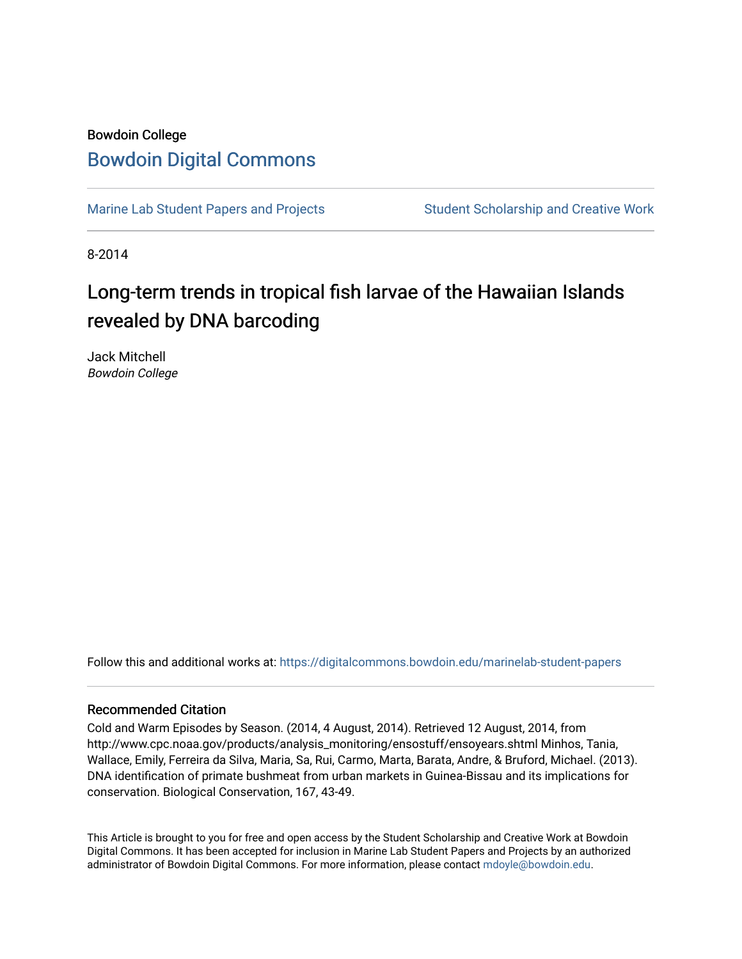### Bowdoin College [Bowdoin Digital Commons](https://digitalcommons.bowdoin.edu/)

[Marine Lab Student Papers and Projects](https://digitalcommons.bowdoin.edu/marinelab-student-papers) Student Scholarship and Creative Work

8-2014

# Long-term trends in tropical fish larvae of the Hawaiian Islands revealed by DNA barcoding

Jack Mitchell Bowdoin College

Follow this and additional works at: [https://digitalcommons.bowdoin.edu/marinelab-student-papers](https://digitalcommons.bowdoin.edu/marinelab-student-papers?utm_source=digitalcommons.bowdoin.edu%2Fmarinelab-student-papers%2F14&utm_medium=PDF&utm_campaign=PDFCoverPages) 

#### Recommended Citation

Cold and Warm Episodes by Season. (2014, 4 August, 2014). Retrieved 12 August, 2014, from http://www.cpc.noaa.gov/products/analysis\_monitoring/ensostuff/ensoyears.shtml Minhos, Tania, Wallace, Emily, Ferreira da Silva, Maria, Sa, Rui, Carmo, Marta, Barata, Andre, & Bruford, Michael. (2013). DNA identification of primate bushmeat from urban markets in Guinea-Bissau and its implications for conservation. Biological Conservation, 167, 43-49.

This Article is brought to you for free and open access by the Student Scholarship and Creative Work at Bowdoin Digital Commons. It has been accepted for inclusion in Marine Lab Student Papers and Projects by an authorized administrator of Bowdoin Digital Commons. For more information, please contact [mdoyle@bowdoin.edu.](mailto:mdoyle@bowdoin.edu)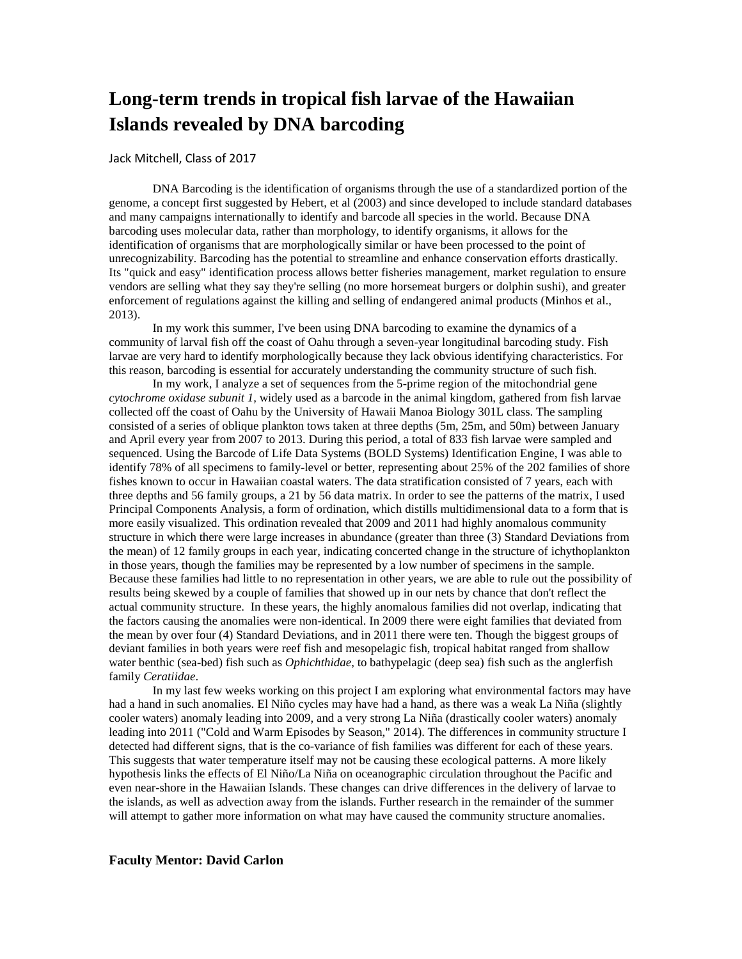## **Long-term trends in tropical fish larvae of the Hawaiian Islands revealed by DNA barcoding**

#### Jack Mitchell, Class of 2017

DNA Barcoding is the identification of organisms through the use of a standardized portion of the genome, a concept first suggested by Hebert, et al (2003) and since developed to include standard databases and many campaigns internationally to identify and barcode all species in the world. Because DNA barcoding uses molecular data, rather than morphology, to identify organisms, it allows for the identification of organisms that are morphologically similar or have been processed to the point of unrecognizability. Barcoding has the potential to streamline and enhance conservation efforts drastically. Its "quick and easy" identification process allows better fisheries management, market regulation to ensure vendors are selling what they say they're selling (no more horsemeat burgers or dolphin sushi), and greater enforcement of regulations against the killing and selling of endangered animal products [\(Minhos et al.,](#page-2-0)  [2013\)](#page-2-0).

In my work this summer, I've been using DNA barcoding to examine the dynamics of a community of larval fish off the coast of Oahu through a seven-year longitudinal barcoding study. Fish larvae are very hard to identify morphologically because they lack obvious identifying characteristics. For this reason, barcoding is essential for accurately understanding the community structure of such fish.

In my work, I analyze a set of sequences from the 5-prime region of the mitochondrial gene *cytochrome oxidase subunit 1,* widely used as a barcode in the animal kingdom, gathered from fish larvae collected off the coast of Oahu by the University of Hawaii Manoa Biology 301L class. The sampling consisted of a series of oblique plankton tows taken at three depths (5m, 25m, and 50m) between January and April every year from 2007 to 2013. During this period, a total of 833 fish larvae were sampled and sequenced. Using the Barcode of Life Data Systems (BOLD Systems) Identification Engine, I was able to identify 78% of all specimens to family-level or better, representing about 25% of the 202 families of shore fishes known to occur in Hawaiian coastal waters. The data stratification consisted of 7 years, each with three depths and 56 family groups, a 21 by 56 data matrix. In order to see the patterns of the matrix, I used Principal Components Analysis, a form of ordination, which distills multidimensional data to a form that is more easily visualized. This ordination revealed that 2009 and 2011 had highly anomalous community structure in which there were large increases in abundance (greater than three (3) Standard Deviations from the mean) of 12 family groups in each year, indicating concerted change in the structure of ichythoplankton in those years, though the families may be represented by a low number of specimens in the sample. Because these families had little to no representation in other years, we are able to rule out the possibility of results being skewed by a couple of families that showed up in our nets by chance that don't reflect the actual community structure. In these years, the highly anomalous families did not overlap, indicating that the factors causing the anomalies were non-identical. In 2009 there were eight families that deviated from the mean by over four (4) Standard Deviations, and in 2011 there were ten. Though the biggest groups of deviant families in both years were reef fish and mesopelagic fish, tropical habitat ranged from shallow water benthic (sea-bed) fish such as *Ophichthidae*, to bathypelagic (deep sea) fish such as the anglerfish family *Ceratiidae*.

In my last few weeks working on this project I am exploring what environmental factors may have had a hand in such anomalies. El Niño cycles may have had a hand, as there was a weak La Niña (slightly cooler waters) anomaly leading into 2009, and a very strong La Niña (drastically cooler waters) anomaly leading into 2011 [\("Cold and Warm Episodes by Season," 2014\)](#page-2-1). The differences in community structure I detected had different signs, that is the co-variance of fish families was different for each of these years. This suggests that water temperature itself may not be causing these ecological patterns. A more likely hypothesis links the effects of El Niño/La Niña on oceanographic circulation throughout the Pacific and even near-shore in the Hawaiian Islands. These changes can drive differences in the delivery of larvae to the islands, as well as advection away from the islands. Further research in the remainder of the summer will attempt to gather more information on what may have caused the community structure anomalies.